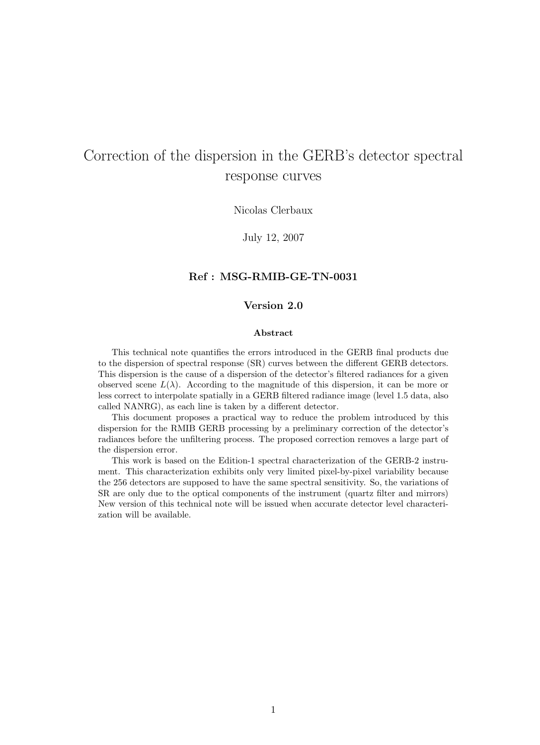# Correction of the dispersion in the GERB's detector spectral response curves

Nicolas Clerbaux

July 12, 2007

### Ref : MSG-RMIB-GE-TN-0031

### Version 2.0

#### Abstract

This technical note quantifies the errors introduced in the GERB final products due to the dispersion of spectral response (SR) curves between the different GERB detectors. This dispersion is the cause of a dispersion of the detector's filtered radiances for a given observed scene  $L(\lambda)$ . According to the magnitude of this dispersion, it can be more or less correct to interpolate spatially in a GERB filtered radiance image (level 1.5 data, also called NANRG), as each line is taken by a different detector.

This document proposes a practical way to reduce the problem introduced by this dispersion for the RMIB GERB processing by a preliminary correction of the detector's radiances before the unfiltering process. The proposed correction removes a large part of the dispersion error.

This work is based on the Edition-1 spectral characterization of the GERB-2 instrument. This characterization exhibits only very limited pixel-by-pixel variability because the 256 detectors are supposed to have the same spectral sensitivity. So, the variations of SR are only due to the optical components of the instrument (quartz filter and mirrors) New version of this technical note will be issued when accurate detector level characterization will be available.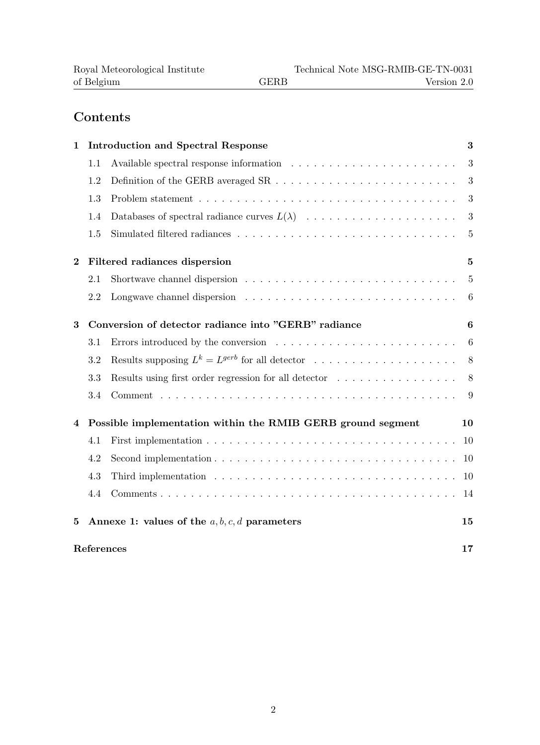# Contents

| $\mathbf{1}$     |                                                             | <b>Introduction and Spectral Response</b>             | 3              |  |  |  |  |  |
|------------------|-------------------------------------------------------------|-------------------------------------------------------|----------------|--|--|--|--|--|
|                  | 1.1                                                         |                                                       | 3              |  |  |  |  |  |
|                  | 1.2                                                         |                                                       | 3              |  |  |  |  |  |
|                  | 1.3                                                         |                                                       | 3              |  |  |  |  |  |
|                  | 1.4                                                         |                                                       | 3              |  |  |  |  |  |
|                  | 1.5                                                         |                                                       | $\overline{5}$ |  |  |  |  |  |
| $\boldsymbol{2}$ |                                                             | Filtered radiances dispersion                         | $\overline{5}$ |  |  |  |  |  |
|                  | 2.1                                                         |                                                       | $\overline{5}$ |  |  |  |  |  |
|                  | 2.2                                                         |                                                       | 6              |  |  |  |  |  |
| 3                | Conversion of detector radiance into "GERB" radiance        |                                                       |                |  |  |  |  |  |
|                  | 3.1                                                         |                                                       | 6              |  |  |  |  |  |
|                  | 3.2                                                         | Results supposing $L^k = L^{gerb}$ for all detector   | 8              |  |  |  |  |  |
|                  | 3.3                                                         | Results using first order regression for all detector | 8              |  |  |  |  |  |
|                  | 3.4                                                         |                                                       | 9              |  |  |  |  |  |
| 4                | Possible implementation within the RMIB GERB ground segment |                                                       |                |  |  |  |  |  |
|                  | 4.1                                                         |                                                       | 10             |  |  |  |  |  |
|                  | 4.2                                                         |                                                       | 10             |  |  |  |  |  |
|                  | 4.3                                                         |                                                       | 10             |  |  |  |  |  |
|                  | 4.4                                                         |                                                       | 14             |  |  |  |  |  |
| $\bf{5}$         |                                                             | Annexe 1: values of the $a, b, c, d$ parameters       | 15             |  |  |  |  |  |
|                  | References                                                  |                                                       | 17             |  |  |  |  |  |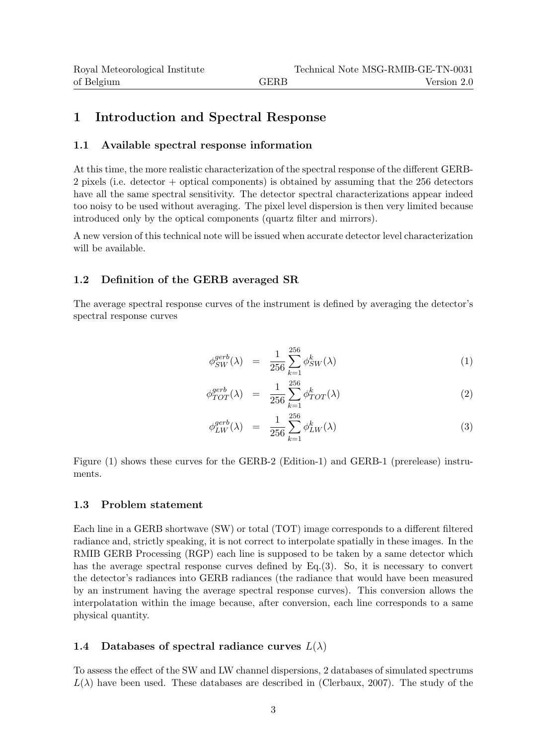## 1 Introduction and Spectral Response

### 1.1 Available spectral response information

At this time, the more realistic characterization of the spectral response of the different GERB-2 pixels (i.e. detector + optical components) is obtained by assuming that the 256 detectors have all the same spectral sensitivity. The detector spectral characterizations appear indeed too noisy to be used without averaging. The pixel level dispersion is then very limited because introduced only by the optical components (quartz filter and mirrors).

A new version of this technical note will be issued when accurate detector level characterization will be available.

### 1.2 Definition of the GERB averaged SR

The average spectral response curves of the instrument is defined by averaging the detector's spectral response curves

$$
\phi_{SW}^{gerb}(\lambda) = \frac{1}{256} \sum_{k=1}^{256} \phi_{SW}^k(\lambda) \tag{1}
$$

$$
\phi_{TOT}^{gerb}(\lambda) = \frac{1}{256} \sum_{k=1}^{256} \phi_{TOT}^k(\lambda)
$$
\n(2)

$$
\phi_{LW}^{gerb}(\lambda) = \frac{1}{256} \sum_{k=1}^{256} \phi_{LW}^k(\lambda) \tag{3}
$$

Figure (1) shows these curves for the GERB-2 (Edition-1) and GERB-1 (prerelease) instruments.

### 1.3 Problem statement

Each line in a GERB shortwave (SW) or total (TOT) image corresponds to a different filtered radiance and, strictly speaking, it is not correct to interpolate spatially in these images. In the RMIB GERB Processing (RGP) each line is supposed to be taken by a same detector which has the average spectral response curves defined by Eq.(3). So, it is necessary to convert the detector's radiances into GERB radiances (the radiance that would have been measured by an instrument having the average spectral response curves). This conversion allows the interpolatation within the image because, after conversion, each line corresponds to a same physical quantity.

### 1.4 Databases of spectral radiance curves  $L(\lambda)$

To assess the effect of the SW and LW channel dispersions, 2 databases of simulated spectrums  $L(\lambda)$  have been used. These databases are described in (Clerbaux, 2007). The study of the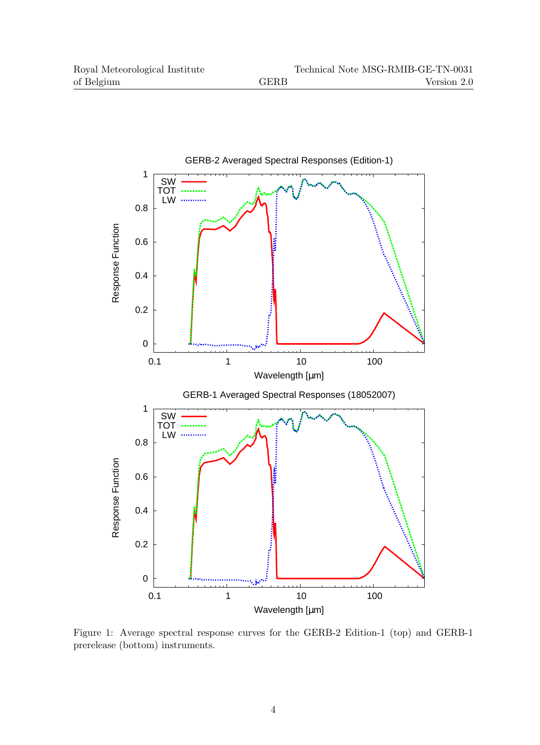

Figure 1: Average spectral response curves for the GERB-2 Edition-1 (top) and GERB-1 prerelease (bottom) instruments.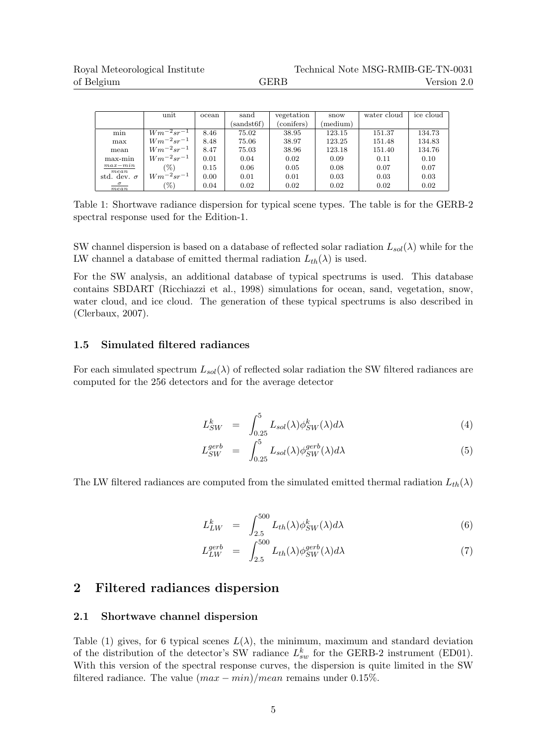|                    | unit             | ocean | sand       | vegetation | snow     | water cloud | ice cloud |
|--------------------|------------------|-------|------------|------------|----------|-------------|-----------|
|                    |                  |       | (sandst6f) | (conifers) | (medium) |             |           |
| min                | $Wm^{-2}sr^{-1}$ | 8.46  | 75.02      | 38.95      | 123.15   | 151.37      | 134.73    |
| max                | $Wm^{-2}sr^{-1}$ | 8.48  | 75.06      | 38.97      | 123.25   | 151.48      | 134.83    |
| mean               | $Wm^{-2}sr^{-1}$ | 8.47  | 75.03      | 38.96      | 123.18   | 151.40      | 134.76    |
| max-min            | $Wm^{-2}sr^{-1}$ | 0.01  | 0.04       | 0.02       | 0.09     | 0.11        | 0.10      |
| $max-min$<br>mean  | (%)              | 0.15  | 0.06       | 0.05       | 0.08     | 0.07        | 0.07      |
| std. dev. $\sigma$ | $Wm^{-2}sr^{-1}$ | 0.00  | 0.01       | 0.01       | 0.03     | 0.03        | 0.03      |
| $\sigma$<br>mean   | $(\%)$           | 0.04  | 0.02       | 0.02       | 0.02     | 0.02        | 0.02      |

Table 1: Shortwave radiance dispersion for typical scene types. The table is for the GERB-2 spectral response used for the Edition-1.

SW channel dispersion is based on a database of reflected solar radiation  $L_{sol}(\lambda)$  while for the LW channel a database of emitted thermal radiation  $L_{th}(\lambda)$  is used.

For the SW analysis, an additional database of typical spectrums is used. This database contains SBDART (Ricchiazzi et al., 1998) simulations for ocean, sand, vegetation, snow, water cloud, and ice cloud. The generation of these typical spectrums is also described in (Clerbaux, 2007).

#### 1.5 Simulated filtered radiances

For each simulated spectrum  $L_{sol}(\lambda)$  of reflected solar radiation the SW filtered radiances are computed for the 256 detectors and for the average detector

$$
L_{SW}^k = \int_{0.25}^5 L_{sol}(\lambda) \phi_{SW}^k(\lambda) d\lambda \tag{4}
$$

$$
L_{SW}^{gerb} = \int_{0.25}^{5} L_{sol}(\lambda) \phi_{SW}^{gerb}(\lambda) d\lambda \tag{5}
$$

The LW filtered radiances are computed from the simulated emitted thermal radiation  $L_{th}(\lambda)$ 

$$
L_{LW}^k = \int_{2.5}^{500} L_{th}(\lambda) \phi_{SW}^k(\lambda) d\lambda \tag{6}
$$

$$
L_{LW}^{gerb} = \int_{2.5}^{500} L_{th}(\lambda) \phi_{SW}^{gerb}(\lambda) d\lambda \tag{7}
$$

### 2 Filtered radiances dispersion

#### 2.1 Shortwave channel dispersion

Table (1) gives, for 6 typical scenes  $L(\lambda)$ , the minimum, maximum and standard deviation of the distribution of the detector's SW radiance  $L_{sw}^k$  for the GERB-2 instrument (ED01). With this version of the spectral response curves, the dispersion is quite limited in the SW filtered radiance. The value  $(max - min)/mean$  remains under 0.15%.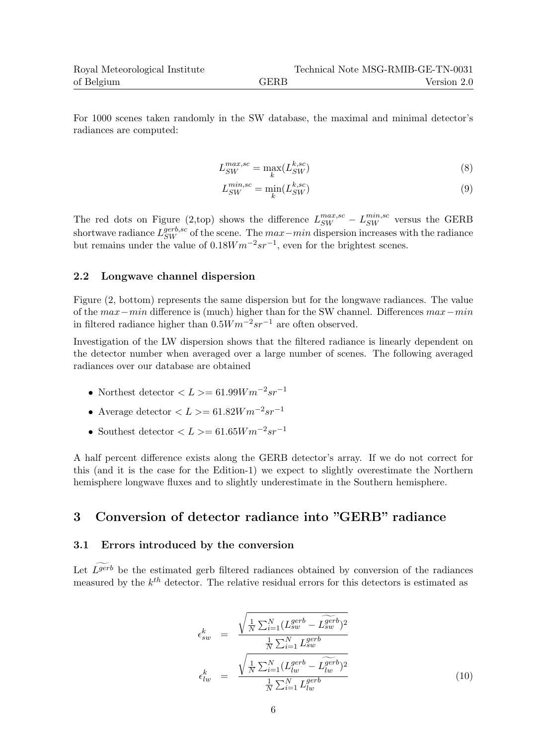For 1000 scenes taken randomly in the SW database, the maximal and minimal detector's radiances are computed:

$$
L_{SW}^{max,sc} = \max_{k} (L_{SW}^{k,sc})
$$
\n(8)

$$
L_{SW}^{min,sc} = \min_{k} (L_{SW}^{k,sc})
$$
\n(9)

The red dots on Figure (2,top) shows the difference  $L_{SW}^{max,sc} - L_{SW}^{min,sc}$  versus the GERB shortwave radiance  $L_{SW}^{gerb,sc}$  of the scene. The  $max-min$  dispersion increases with the radiance but remains under the value of  $0.18Wm^{-2}sr^{-1}$ , even for the brightest scenes.

### 2.2 Longwave channel dispersion

Figure (2, bottom) represents the same dispersion but for the longwave radiances. The value of the max−min difference is (much) higher than for the SW channel. Differences max−min in filtered radiance higher than  $0.5Wm^{-2}sr^{-1}$  are often observed.

Investigation of the LW dispersion shows that the filtered radiance is linearly dependent on the detector number when averaged over a large number of scenes. The following averaged radiances over our database are obtained

- Northest detector  $\langle L \rangle = 61.99 W m^{-2} s r^{-1}$
- Average detector  $\langle L \rangle = 61.82 W m^{-2} sr^{-1}$
- Southest detector  $\langle L \rangle = 61.65 W m^{-2} s r^{-1}$

A half percent difference exists along the GERB detector's array. If we do not correct for this (and it is the case for the Edition-1) we expect to slightly overestimate the Northern hemisphere longwave fluxes and to slightly underestimate in the Southern hemisphere.

### 3 Conversion of detector radiance into "GERB" radiance

### 3.1 Errors introduced by the conversion

Let  $\widetilde{L}^{gerb}$  be the estimated gerb filtered radiances obtained by conversion of the radiances measured by the  $k^{th}$  detector. The relative residual errors for this detectors is estimated as

$$
\epsilon_{sw}^k = \frac{\sqrt{\frac{1}{N} \sum_{i=1}^N (L_{sw}^{gerb} - \widetilde{L_{sw}}^{gerb})^2}}{\frac{1}{N} \sum_{i=1}^N L_{sw}^{gerb}}
$$
\n
$$
\epsilon_{lw}^k = \frac{\sqrt{\frac{1}{N} \sum_{i=1}^N (L_{lw}^{gerb} - \widetilde{L_{lw}}^{gerb})^2}}{\frac{1}{N} \sum_{i=1}^N L_{lw}^{gerb}}
$$
\n(10)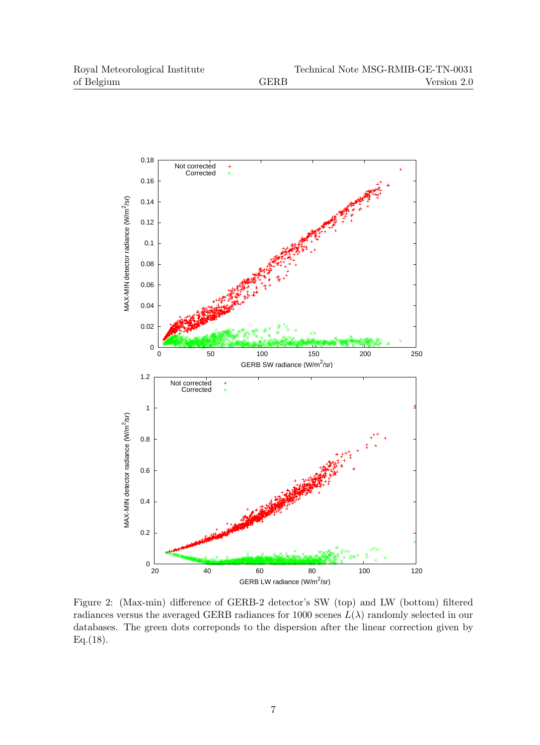

Figure 2: (Max-min) difference of GERB-2 detector's SW (top) and LW (bottom) filtered radiances versus the averaged GERB radiances for 1000 scenes  $L(\lambda)$  randomly selected in our databases. The green dots correponds to the dispersion after the linear correction given by  $Eq.(18)$ .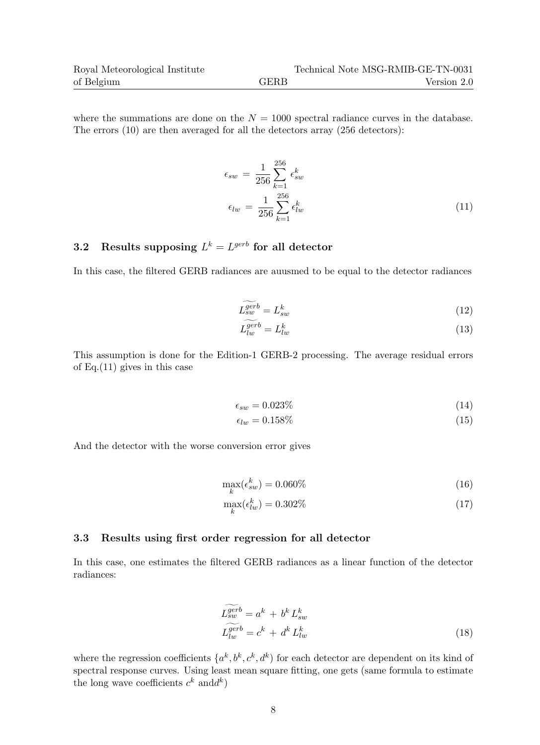where the summations are done on the  $N = 1000$  spectral radiance curves in the database. The errors (10) are then averaged for all the detectors array (256 detectors):

$$
\epsilon_{sw} = \frac{1}{256} \sum_{k=1}^{256} \epsilon_{sw}^k
$$
\n
$$
\epsilon_{lw} = \frac{1}{256} \sum_{k=1}^{256} \epsilon_{lw}^k
$$
\n(11)

### 3.2 Results supposing  $L^k = L^{gerb}$  for all detector

In this case, the filtered GERB radiances are auusmed to be equal to the detector radiances

$$
\widetilde{L_{sw}^{gerb}} = L_{sw}^k \tag{12}
$$

$$
L_{lw}^{gerb} = L_{lw}^k \tag{13}
$$

This assumption is done for the Edition-1 GERB-2 processing. The average residual errors of Eq.(11) gives in this case

$$
\epsilon_{sw} = 0.023\% \tag{14}
$$

$$
\epsilon_{lw} = 0.158\% \tag{15}
$$

And the detector with the worse conversion error gives

$$
\max_{k}(\epsilon_{sw}^{k}) = 0.060\% \tag{16}
$$

$$
\max_{k}(\epsilon_{lw}^k) = 0.302\% \tag{17}
$$

#### 3.3 Results using first order regression for all detector

In this case, one estimates the filtered GERB radiances as a linear function of the detector radiances:

$$
\widetilde{L_{sw}^{gerb}} = a^k + b^k L_{sw}^k
$$
\n
$$
\widetilde{L_{lw}^{gerb}} = c^k + d^k L_{lw}^k
$$
\n(18)

where the regression coefficients  $\{a^k, b^k, c^k, d^k\}$  for each detector are dependent on its kind of spectral response curves. Using least mean square fitting, one gets (same formula to estimate the long wave coefficients  $c^k$  and  $d^k$ )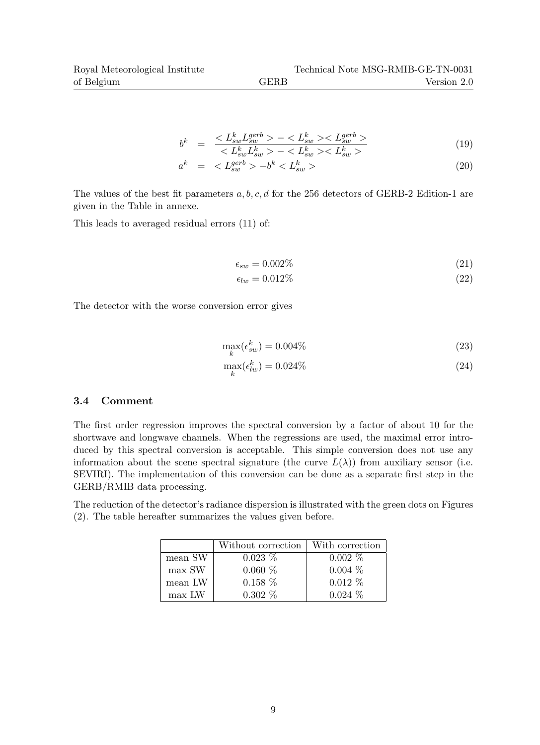$$
b^{k} = \frac{-}{-}
$$
(19)

$$
a^k = \langle L_{sw}^{gerb} \rangle - b^k \langle L_{sw}^k \rangle \tag{20}
$$

The values of the best fit parameters  $a, b, c, d$  for the 256 detectors of GERB-2 Edition-1 are given in the Table in annexe.

This leads to averaged residual errors (11) of:

$$
\epsilon_{sw} = 0.002\% \tag{21}
$$

$$
\epsilon_{lw} = 0.012\% \tag{22}
$$

The detector with the worse conversion error gives

$$
\max_{k}(\epsilon_{sw}^{k}) = 0.004\% \tag{23}
$$

$$
\max_{k}(\epsilon_{lw}^k) = 0.024\% \tag{24}
$$

### 3.4 Comment

The first order regression improves the spectral conversion by a factor of about 10 for the shortwave and longwave channels. When the regressions are used, the maximal error introduced by this spectral conversion is acceptable. This simple conversion does not use any information about the scene spectral signature (the curve  $L(\lambda)$ ) from auxiliary sensor (i.e. SEVIRI). The implementation of this conversion can be done as a separate first step in the GERB/RMIB data processing.

The reduction of the detector's radiance dispersion is illustrated with the green dots on Figures (2). The table hereafter summarizes the values given before.

|         | Without correction | With correction |
|---------|--------------------|-----------------|
| mean SW | $0.023\%$          | $0.002\%$       |
| max SW  | $0.060\%$          | $0.004\%$       |
| mean LW | $0.158\%$          | $0.012\%$       |
| max LW  | $0.302\%$          | $0.024\%$       |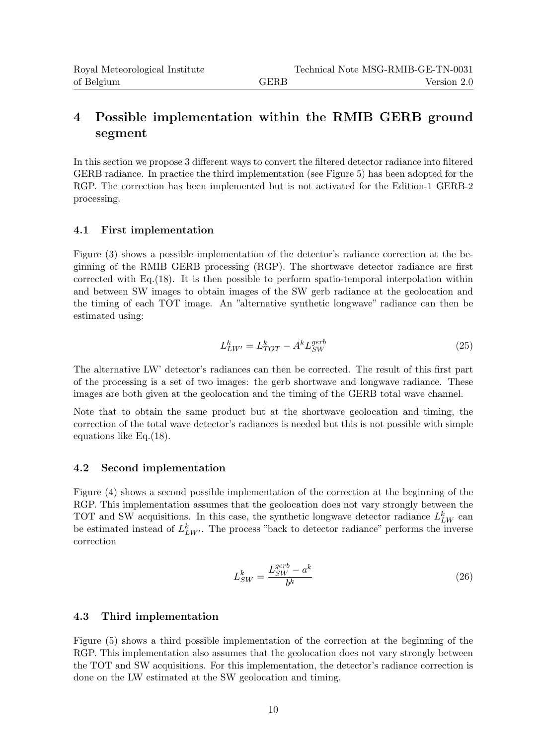# 4 Possible implementation within the RMIB GERB ground segment

In this section we propose 3 different ways to convert the filtered detector radiance into filtered GERB radiance. In practice the third implementation (see Figure 5) has been adopted for the RGP. The correction has been implemented but is not activated for the Edition-1 GERB-2 processing.

### 4.1 First implementation

Figure (3) shows a possible implementation of the detector's radiance correction at the beginning of the RMIB GERB processing (RGP). The shortwave detector radiance are first corrected with Eq.(18). It is then possible to perform spatio-temporal interpolation within and between SW images to obtain images of the SW gerb radiance at the geolocation and the timing of each TOT image. An "alternative synthetic longwave" radiance can then be estimated using:

$$
L_{LW'}^k = L_{TOT}^k - A^k L_{SW}^{gerb} \tag{25}
$$

The alternative LW' detector's radiances can then be corrected. The result of this first part of the processing is a set of two images: the gerb shortwave and longwave radiance. These images are both given at the geolocation and the timing of the GERB total wave channel.

Note that to obtain the same product but at the shortwave geolocation and timing, the correction of the total wave detector's radiances is needed but this is not possible with simple equations like Eq.(18).

### 4.2 Second implementation

Figure (4) shows a second possible implementation of the correction at the beginning of the RGP. This implementation assumes that the geolocation does not vary strongly between the TOT and SW acquisitions. In this case, the synthetic longwave detector radiance  $L_{LW}^k$  can be estimated instead of  $L_{LW'}^k$ . The process "back to detector radiance" performs the inverse correction

$$
L_{SW}^k = \frac{L_{SW}^{gerb} - a^k}{b^k} \tag{26}
$$

### 4.3 Third implementation

Figure (5) shows a third possible implementation of the correction at the beginning of the RGP. This implementation also assumes that the geolocation does not vary strongly between the TOT and SW acquisitions. For this implementation, the detector's radiance correction is done on the LW estimated at the SW geolocation and timing.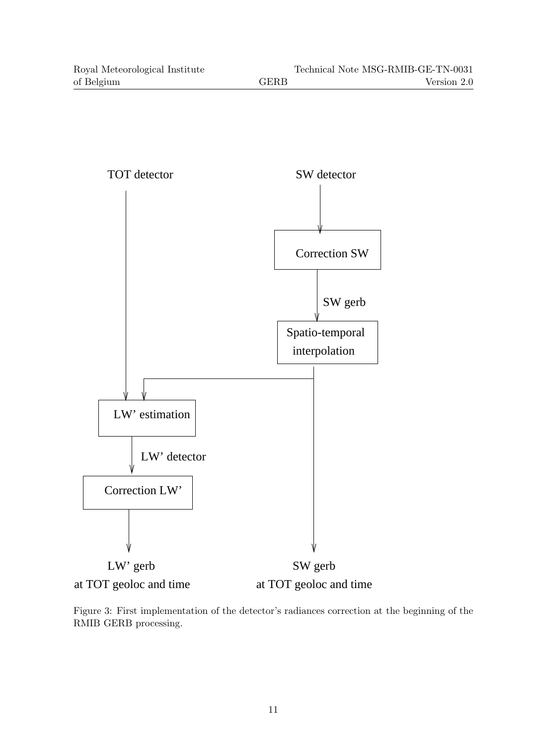

Figure 3: First implementation of the detector's radiances correction at the beginning of the RMIB GERB processing.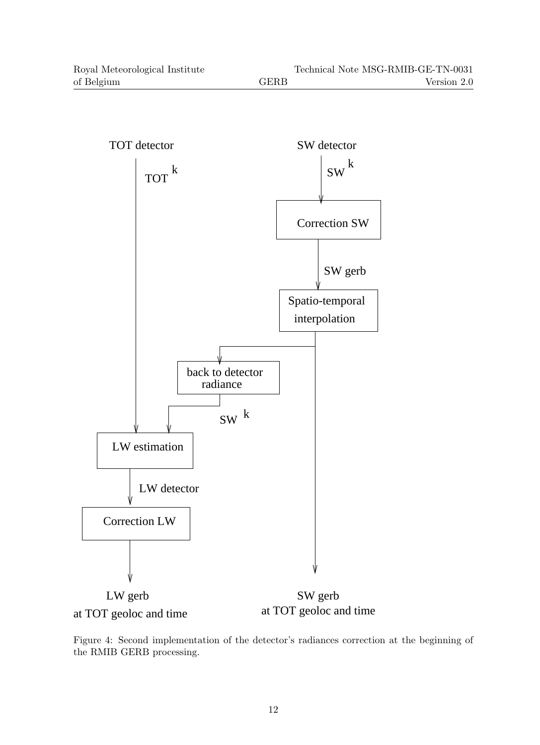

Figure 4: Second implementation of the detector's radiances correction at the beginning of the RMIB GERB processing.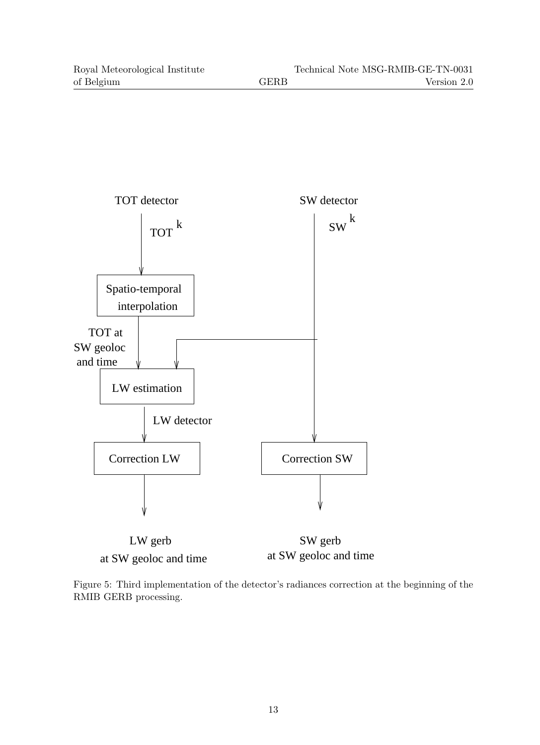

at SW geoloc and time at SW geoloc and time

Figure 5: Third implementation of the detector's radiances correction at the beginning of the RMIB GERB processing.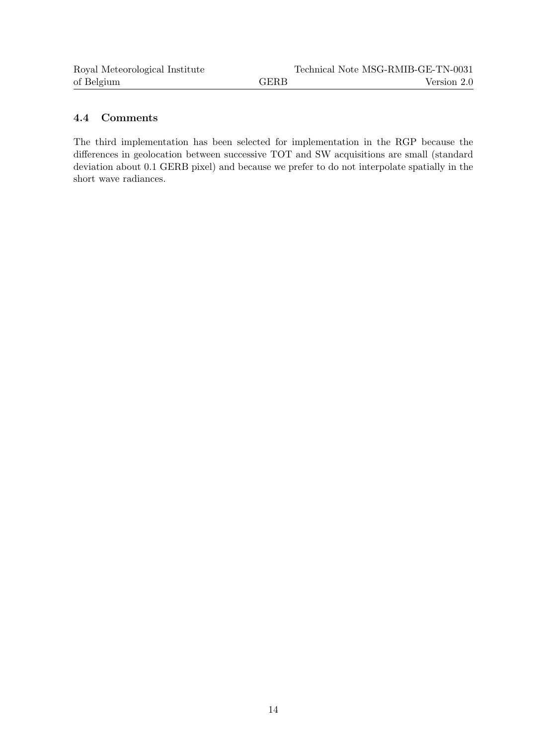### 4.4 Comments

The third implementation has been selected for implementation in the RGP because the differences in geolocation between successive TOT and SW acquisitions are small (standard deviation about 0.1 GERB pixel) and because we prefer to do not interpolate spatially in the short wave radiances.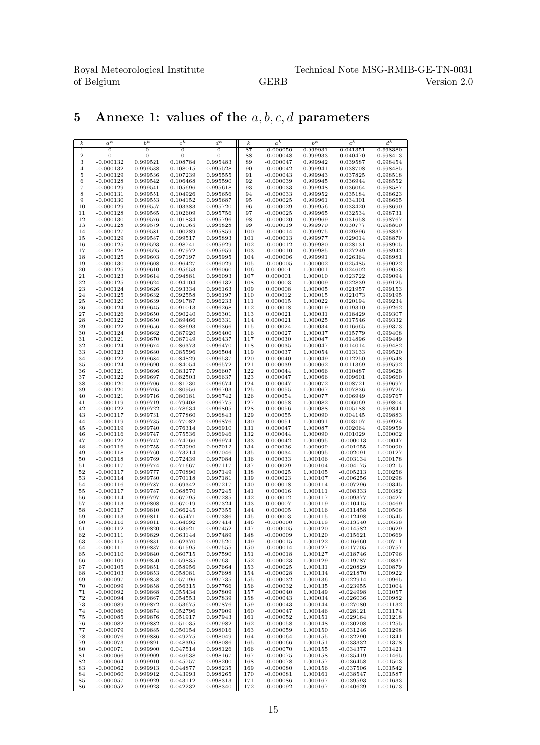# 5 Annexe 1: values of the  $a, b, c, d$  parameters

| $\boldsymbol{k}$ | $a^{\overline{k}}$ | $b^{\overline{k}}$ | $c^{\overline{k}}$ | $d^k$          | $\boldsymbol{k}$ | $a^{\overline{k}}$ | $b^k$    | $c^k$       | $\overline{d^k}$ |
|------------------|--------------------|--------------------|--------------------|----------------|------------------|--------------------|----------|-------------|------------------|
| $\mathbf{1}$     | $\overline{0}$     | $\overline{0}$     | $\overline{0}$     | $\overline{0}$ | 87               | $-0.000050$        | 0.999931 | 0.041351    | 0.998380         |
| $\,2$            | $\mathbf{0}$       | 0                  | $\mathbf{0}$       | 0              | 88               | $-0.000048$        | 0.999933 | 0.040470    | 0.998413         |
| 3                | $-0.000132$        | 0.999521           | 0.108784           | 0.995483       | 89               | $-0.000047$        | 0.999942 | 0.039587    | 0.998454         |
| $\overline{4}$   | $-0.000132$        | 0.999538           | 0.108015           | 0.995528       | 90               | $-0.000042$        | 0.999941 | 0.038708    | 0.998485         |
|                  |                    |                    |                    |                |                  |                    |          |             |                  |
| 5                | $-0.000129$        | 0.999536           | 0.107239           | 0.995555       | 91               | $-0.000043$        | 0.999943 | 0.037825    | 0.998518         |
| 6                | $-0.000128$        | 0.999542           | 0.106468           | 0.995590       | 92               | $-0.000039$        | 0.999945 | 0.036944    | 0.998552         |
| 7                | $-0.000129$        | 0.999541           | 0.105696           | 0.995618       | 93               | $-0.000033$        | 0.999948 | 0.036064    | 0.998587         |
| 8                | $-0.000131$        | 0.999551           | 0.104926           | 0.995656       | 94               | $-0.000033$        | 0.999952 | 0.035184    | 0.998623         |
| 9                | $-0.000130$        | 0.999553           | 0.104152           | 0.995687       | 95               | $-0.000025$        | 0.999961 | 0.034301    | 0.998665         |
| 10               | $-0.000129$        | 0.999557           | 0.103383           | 0.995720       | 96               | $-0.000029$        | 0.999956 | 0.033420    | 0.998690         |
| 11               | $-0.000128$        | 0.999565           | 0.102609           | 0.995756       | 97               | $-0.000025$        | 0.999965 | 0.032534    | 0.998731         |
| 12               | $-0.000130$        | 0.999576           | 0.101834           | 0.995796       | 98               | $-0.000020$        | 0.999969 | 0.031658    | 0.998767         |
| 13               | $-0.000128$        | 0.999579           | 0.101065           | 0.995828       | 99               | $-0.000019$        | 0.999970 | 0.030777    | 0.998800         |
| 14               | $-0.000127$        | 0.999581           | 0.100289           | 0.995859       | 100              | $-0.000014$        | 0.999975 | 0.029896    | 0.998837         |
| 15               | $-0.000129$        | 0.999587           | 0.099517           | 0.995893       | 101              | $-0.000013$        | 0.999977 | 0.029014    | 0.998870         |
| 16               | $-0.000125$        | 0.999593           | 0.098741           | 0.995929       | 102              | $-0.000012$        | 0.999980 | 0.028131    | 0.998905         |
| 17               | $-0.000128$        | 0.999595           | 0.097972           | 0.995959       | 103              | $-0.000010$        | 0.999985 | 0.027249    | 0.998942         |
| 18               | $-0.000125$        | 0.999603           | 0.097197           | 0.995995       | 104              | $-0.000006$        | 0.999991 | 0.026364    | 0.998981         |
| 19               | $-0.000130$        | 0.999608           | 0.096427           | 0.996029       | 105              | $-0.000005$        | 1.000002 | 0.025485    | 0.999022         |
| 20               | $-0.000125$        | 0.999610           | 0.095653           | 0.996060       | 106              | 0.000001           | 1.000001 | 0.024602    | 0.999053         |
| 21               | $-0.000123$        | 0.999614           | 0.094881           | 0.996093       | 107              | 0.000001           | 1.000010 | 0.023722    | 0.999094         |
| 22               | $-0.000125$        | 0.999624           | 0.094104           | 0.996132       | 108              | 0.000003           | 1.000009 | 0.022839    | 0.999125         |
| 23               | $-0.000124$        | 0.999626           | 0.093334           | 0.996163       | 109              | 0.000008           | 1.000005 | 0.021957    | 0.999153         |
| 24               | $-0.000125$        | 0.999632           | 0.092558           | 0.996197       | 110              | 0.000012           | 1.000015 | 0.021073    | 0.999195         |
| 25               | $-0.000120$        | 0.999639           | 0.091787           | 0.996233       | 111              | 0.000015           | 1.000022 | 0.020194    | 0.999234         |
| 26               | $-0.000124$        | 0.999645           | 0.091013           | 0.996268       | 112              | 0.000018           | 1.000019 | 0.019310    | 0.999262         |
| 27               | $-0.000126$        | 0.999650           | 0.090240           | 0.996301       | 113              | 0.000021           | 1.000031 | 0.018429    | 0.999307         |
| 28               | $-0.000122$        | 0.999650           | 0.089466           | 0.996331       | 114              | 0.000021           | 1.000025 | 0.017546    | 0.999332         |
|                  |                    |                    |                    |                |                  |                    |          |             |                  |
| 29               | $-0.000122$        | 0.999656           | 0.088693           | 0.996366       | 115              | 0.000024           | 1.000034 | 0.016665    | 0.999373         |
| 30               | $-0.000124$        | 0.999662           | 0.087920           | 0.996400       | 116              | 0.000027           | 1.000037 | 0.015779    | 0.999408         |
| 31               | $-0.000121$        | 0.999670           | 0.087149           | 0.996437       | 117              | 0.000030           | 1.000047 | 0.014896    | 0.999449         |
| 32               | $-0.000124$        | 0.999674           | 0.086373           | 0.996470       | 118              | 0.000035           | 1.000047 | 0.014014    | 0.999482         |
| 33               | $-0.000123$        | 0.999680           | 0.085596           | 0.996504       | 119              | 0.000037           | 1.000054 | 0.013133    | 0.999520         |
| 34               | $-0.000122$        | 0.999684           | 0.084829           | 0.996537       | 120              | 0.000040           | 1.000049 | 0.012250    | 0.999548         |
| 35               | $-0.000124$        | 0.999690           | 0.084054           | 0.996572       | 121              | 0.000039           | 1.000062 | 0.011369    | 0.999592         |
| 36               | $-0.000121$        | 0.999696           | 0.083277           | 0.996607       | 122              | 0.000044           | 1.000066 | 0.010487    | 0.999628         |
| 37               | $-0.000122$        | 0.999697           | 0.082503           | 0.996637       | 123              | 0.000047           | 1.000066 | 0.009601    | 0.999660         |
| 38               | $-0.000120$        | 0.999706           | 0.081730           | 0.996674       | 124              | 0.000047           | 1.000072 | 0.008721    | 0.999697         |
| 39               | $-0.000120$        | 0.999705           | 0.080956           | 0.996703       | 125              | 0.000055           | 1.000067 | 0.007836    | 0.999725         |
| 40               | $-0.000121$        | 0.999716           | 0.080181           | 0.996742       | 126              | 0.000054           | 1.000077 | 0.006949    | 0.999767         |
| 41               | $-0.000119$        | 0.999719           | 0.079408           | 0.996775       | 127              | 0.000058           | 1.000082 | 0.006069    | 0.999804         |
| 42               | $-0.000122$        | 0.999722           | 0.078634           | 0.996805       | 128              | 0.000056           | 1.000088 | 0.005188    | 0.999841         |
| 43               | $-0.000117$        | 0.999731           | 0.077860           | 0.996843       | 129              | 0.000055           | 1.000090 | 0.004145    | 0.999883         |
| 44               | $-0.000119$        | 0.999735           | 0.077082           | 0.996876       | 130              | 0.000051           | 1.000091 | 0.003107    | 0.999924         |
| 45               | $-0.000119$        | 0.999740           | 0.076314           | 0.996910       | 131              | 0.000047           | 1.000087 | 0.002064    | 0.999959         |
| 46               | $-0.000116$        | 0.999747           | 0.075536           | 0.996946       | 132              | 0.000044           | 1.000090 | 0.001029    | 1.000002         |
| 47               | $-0.000122$        | 0.999747           | 0.074766           | 0.996974       | 133              | 0.000042           | 1.000095 | $-0.000013$ | 1.000047         |
| 48               | $-0.000116$        | 0.999755           | 0.073990           | 0.997012       | 134              | 0.000036           | 1.000099 | $-0.001055$ | 1.000090         |
| 49               | $-0.000118$        | 0.999760           | 0.073214           | 0.997046       | 135              | 0.000034           | 1.000095 |             | 1.000127         |
|                  |                    |                    |                    |                |                  |                    |          | $-0.002091$ |                  |
| 50               | $-0.000118$        | 0.999769           | 0.072439           | 0.997084       | 136              | 0.000033           | 1.000106 | $-0.003134$ | 1.000178         |
| 51               | $-0.000117$        | 0.999774           | 0.071667           | 0.997117       | 137              | 0.000029           | 1.000104 | $-0.004175$ | 1.000215         |
| 52               | $-0.000117$        | 0.999777           | 0.070890           | 0.997149       | 138              | 0.000025           | 1.000105 | $-0.005213$ | 1.000256         |
| 53               | $-0.000114$        | 0.999780           | 0.070118           | 0.997181       | 139              | 0.000023           | 1.000107 | $-0.006256$ | 1.000298         |
| 54               | $-0.000116$        | 0.999787           | 0.069342           | 0.997217       | 140              | 0.000018           | 1.000114 | $-0.007296$ | 1.000345         |
| 55               | $-0.000117$        | 0.999787           | 0.068570           | 0.997245       | 141              | 0.000016           | 1.000111 | $-0.008333$ | 1.000382         |
| 56               | $-0.000114$        | 0.999797           | 0.067795           | 0.997285       | 142              | 0.000012           | 1.000117 | $-0.009377$ | 1.000427         |
| 57               | $-0.000113$        | 0.999808           | 0.067019           | 0.997324       | 143              | 0.000007           | 1.000119 | $-0.010415$ | 1.000469         |
| 58               | $-0.000117$        | 0.999810           | 0.066245           | 0.997355       | 144              | 0.000005           | 1.000116 | $-0.011458$ | 1.000506         |
| 59               | $-0.000113$        | 0.999811           | 0.065471           | 0.997386       | 145              | 0.000003           | 1.000115 | $-0.012498$ | 1.000545         |
| 60               | $-0.000116$        | 0.999811           | 0.064692           | 0.997414       | 146              | $-0.000000$        | 1.000118 | $-0.013540$ | 1.000588         |
| 61               | $-0.000112$        | 0.999820           | 0.063921           | 0.997452       | 147              | $-0.000005$        | 1.000120 | $-0.014582$ | 1.000629         |
| 62               | $-0.000111$        | 0.999829           | 0.063144           | 0.997489       | 148              | $-0.000009$        | 1.000120 | $-0.015621$ | 1.000669         |
| 63               | $-0.000115$        | 0.999831           | 0.062370           | 0.997520       | 149              | $-0.000015$        | 1.000122 | $-0.016660$ | 1.000711         |
| 64               | $-0.000111$        | 0.999837           | 0.061595           | 0.997555       | 150              | $-0.000014$        | 1.000127 | $-0.017705$ | 1.000757         |
| 65               | $-0.000110$        | 0.999840           | 0.060715           | 0.997590       | 151              | $-0.000018$        | 1.000127 | $-0.018746$ | 1.000796         |
| 66               | $-0.000109$        | 0.999850           | 0.059835           | 0.997631       | 152              | $-0.000023$        | 1.000129 | $-0.019787$ | 1.000837         |
| 67               | $-0.000105$        | 0.999851           | 0.058956           | 0.997664       | 153              | $-0.000025$        | 1.000131 | $-0.020829$ | 1.000879         |
| 68               | $-0.000103$        | 0.999853           | 0.058081           | 0.997698       | 154              | $-0.000028$        | 1.000134 | $-0.021870$ | 1.000922         |
| 69               | $-0.000097$        | 0.999858           | 0.057196           | 0.997735       | 155              | $-0.000032$        | 1.000136 | $-0.022914$ | 1.000965         |
| 70               | $-0.000099$        | 0.999858           | 0.056315           | 0.997766       | 156              | $-0.000032$        | 1.000135 | $-0.023955$ | 1.001004         |
| 71               | $-0.000092$        | 0.999868           | 0.055434           | 0.997809       | 157              | $-0.000040$        | 1.000149 | $-0.024998$ | 1.001057         |
| 72               | $-0.000094$        | 0.999867           | 0.054553           | 0.997839       | 158              | $-0.000043$        | 1.000034 | $-0.026036$ | 1.000982         |
| 73               | $-0.000089$        | 0.999872           | 0.053675           | 0.997876       | 159              | $-0.000043$        | 1.000144 | $-0.027080$ | 1.001132         |
| 74               | $-0.000086$        | 0.999874           | 0.052796           | 0.997909       | 160              | $-0.000047$        | 1.000146 | $-0.028121$ | 1.001174         |
| 75               | $-0.000085$        | 0.999876           | 0.051917           | 0.997943       | 161              | $-0.000052$        | 1.000151 | $-0.029164$ | 1.001218         |
| 76               | $-0.000082$        | 0.999882           | 0.051035           | 0.997982       | 162              | $-0.000058$        | 1.000148 | $-0.030208$ | 1.001255         |
|                  |                    |                    |                    |                |                  |                    |          |             |                  |
| 77               | $-0.000079$        | 0.999885           | 0.050154           | 0.998016       | 163              | $-0.000059$        | 1.000150 | $-0.031246$ | 1.001298         |
| 78               | $-0.000076$        | 0.999886           | 0.049275           | 0.998049       | 164              | $-0.000064$        | 1.000155 | $-0.032290$ | 1.001341         |
| 79               | $-0.000073$        | 0.999891           | 0.048395           | 0.998086       | 165              | $-0.000066$        | 1.000151 | $-0.033332$ | 1.001378         |
| 80               | $-0.000071$        | 0.999900           | 0.047514           | 0.998126       | 166              | $-0.000070$        | 1.000155 | $-0.034377$ | 1.001421         |
| 81               | $-0.000066$        | 0.999909           | 0.046638           | 0.998167       | 167              | $-0.000075$        | 1.000158 | $-0.035419$ | 1.001465         |
| 82               | $-0.000064$        | 0.999910           | 0.045757           | 0.998200       | 168              | $-0.000078$        | 1.000157 | $-0.036458$ | 1.001503         |
| 83               | $-0.000062$        | 0.999913           | 0.044877           | 0.998235       | 169              | $-0.000080$        | 1.000156 | $-0.037506$ | 1.001542         |
| 84               | $-0.000060$        | 0.999912           | 0.043993           | 0.998265       | 170              | $-0.000081$        | 1.000161 | $-0.038547$ | 1.001587         |
| 85               | $-0.000057$        | 0.999929           | 0.043112           | 0.998313       | 171              | $-0.000086$        | 1.000167 | $-0.039593$ | 1.001633         |
| 86               | $-0.000052$        | 0.999923           | 0.042232           | 0.998340       | 172              | $-0.000092$        | 1.000167 | $-0.040629$ | 1.001673         |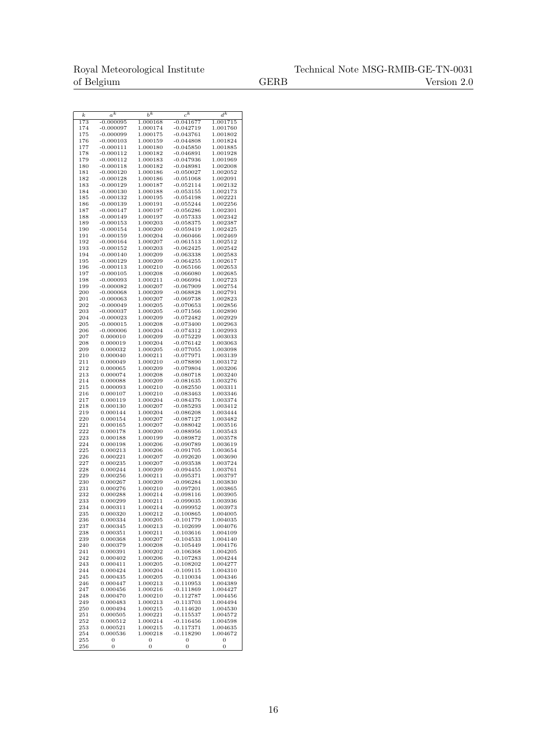|            | $a^{\overline{k}}$         | $b^k$                | $c^{\overline{k}}$         | $d^{\bar{k}}$        |
|------------|----------------------------|----------------------|----------------------------|----------------------|
| k<br>173   | $-0.000095$                | 1.000168             | $-0.041677$                | 1.001715             |
| 174        | $-0.000097$                | 1.000174             | $-0.042719$                | 1.001760             |
| 175        | $-0.000099$                | 1.000175             | $-0.043761$                | 1.001802             |
| 176        | $-0.000103$                | 1.000159             | $-0.044808$                | 1.001824             |
| 177        | $-0.000111$                | 1.000180             | $-0.045850$                | 1.001885             |
| 178        | $-0.000112$                | 1.000182             | $-0.046891$                | 1.001928             |
| 179        | $-0.000112$                | 1.000183             | $-0.047936$                | 1.001969             |
| 180        | $-0.000118$                | 1.000182             | $-0.048981$                | 1.002008             |
| 181        | $-0.000120$                | 1.000186             | $-0.050027$                | 1.002052             |
| 182        | $-0.000128$                | 1.000186             | $-0.051068$                | 1.002091             |
| 183        | $-0.000129$                | 1.000187             | $-0.052114$                | 1.002132             |
| 184        | $-0.000130$                | 1.000188             | $-0.053155$                | 1.002173             |
| 185        | $-0.000132$                | 1.000195             | $-0.054198$<br>$-0.055244$ | 1.002221             |
| 186<br>187 | $-0.000139$<br>$-0.000147$ | 1.000191<br>1.000197 | $-0.056286$                | 1.002256<br>1.002301 |
| 188        | $-0.000149$                | 1.000197             | $-0.057333$                | 1.002342             |
| 189        | $-0.000153$                | 1.000203             | $-0.058375$                | 1.002387             |
| 190        | $-0.000154$                | 1.000200             | $-0.059419$                | 1.002425             |
| 191        | $-0.000159$                | 1.000204             | $-0.060466$                | 1.002469             |
| 192        | $-0.000164$                | 1.000207             | $-0.061513$                | 1.002512             |
| 193        | $-0.000152$                | 1.000203             | $-0.062425$                | 1.002542             |
| 194        | $-0.000140$                | 1.000209             | $-0.063338$                | 1.002583             |
| 195        | $-0.000129$                | 1.000209             | $-0.064255$                | 1.002617             |
| 196        | $-0.000113$                | 1.000210             | $-0.065166$                | 1.002653             |
| 197<br>198 | $-0.000105$                | 1.000208             | $-0.066080$                | 1.002685             |
| 199        | $-0.000093$<br>$-0.000082$ | 1.000211<br>1.000207 | -0.066994<br>-0.067909     | 1.002723<br>1.002754 |
| 200        | $-0.000068$                | 1.000209             | $-0.068828$                | 1.002791             |
| 201        | $-0.000063$                | 1.000207             | $-0.069738$                | 1.002823             |
| 202        | $-0.000049$                | 1.000205             | $-0.070653$                | 1.002856             |
| 203        | $-0.000037$                | 1.000205             | $-0.071566$                | 1.002890             |
| 204        | $-0.000023$                | 1.000209             | $-0.072482$                | 1.002929             |
| 205        | $-0.000015$                | 1.000208             | $-0.073400$                | 1.002963             |
| 206        | $-0.000006$                | 1.000204             | $-0.074312$                | 1.002993             |
| 207<br>208 | 0.000010<br>0.000019       | 1.000209<br>1.000204 | $-0.075229$<br>$-0.076142$ | 1.003033<br>1.003063 |
| 209        | 0.000032                   | 1.000205             | $-0.077055$                | 1.003098             |
| 210        | 0.000040                   | 1.000211             | $-0.077971$                | 1.003139             |
| 211        | 0.000049                   | 1.000210             | $-0.078890$                | 1.003172             |
| 212        | 0.000065                   | 1.000209             | $-0.079804$                | 1.003206             |
| 213        | 0.000074                   | 1.000208             | $-0.080718$                | 1.003240             |
| 214        | 0.000088                   | 1.000209             | $-0.081635$                | 1.003276             |
| 215        | 0.000093                   | 1.000210             | $-0.082550$                | 1.003311             |
| 216<br>217 | 0.000107<br>0.000119       | 1.000210<br>1.000204 | $-0.083463$<br>$-0.084376$ | 1.003346<br>1.003374 |
| 218        | 0.000130                   | 1.000207             | $-0.085293$                | 1.003412             |
| 219        | 0.000144                   | 1.000204             | $-0.086208$                | 1.003444             |
| 220        | $_{0.000154}$              | 1.000207             | $-0.087127$                | 1.003482             |
| 221        | 0.000165                   | 1.000207             | $-0.088042$                | 1.003516             |
| 222        | 0.000178                   | 1.000200             | $-0.088956$                | 1.003543             |
| 223        | 0.000188                   | 1.000199             | $-0.089872$                | 1.003578             |
| 224<br>225 | 0.000198<br>0.000213       | 1.000206<br>1.000206 | -0.090789<br>$-0.091705$   | 1.003619<br>1.003654 |
| 226        | 0.000221                   | 1.000207             | $-0.092620$                | 1.003690             |
| 227        | 0.000235                   | 1.000207             | $-0.093538$                | 1.003724             |
| 228        | 0.000244                   | 1.000209             | $-0.094455$                | 1.003761             |
| 229        | 0.000256                   | 1.000211             | -0.095371                  | 1.003797             |
| 230        | 0.000267                   | 1.000209             | $-0.096284$                | 1.003830             |
| 231        | 0.000276                   | 1.000210             | $-0.097201$                | 1.003865             |
| 232        | 0.000288                   | 1.000214             | $-0.098116$<br>$-0.099035$ | 1.003905             |
| 233<br>234 | 0.000299<br>0.000311       | 1.000211<br>1.000214 | $-0.099952$                | 1.003936<br>1.003973 |
| 235        | 0.000320                   | 1.000212             | $-0.100865$                | 1.004005             |
| 236        | 0.000334                   | 1.000205             | $-0.101779$                | 1.004035             |
| 237        | 0.000345                   | 1.000213             | $-0.102699$                | 1.004076             |
| 238        | 0.000351                   | 1.000211             | $-0.103616$                | 1.004109             |
| 239        | 0.000368                   | 1.000207             | $-0.104533$                | 1.004140             |
| 240        | 0.000379                   | 1.000208             | $-0.105449$                | 1.004176             |
| 241<br>242 | 0.000391<br>0.000402       | 1.000202<br>1.000206 | $-0.106368$<br>$-0.107283$ | 1.004205<br>1.004244 |
| 243        | 0.000411                   | 1.000205             | $-0.108202$                | 1.004277             |
| 244        | 0.000424                   | 1.000204             | $-0.109115$                | 1.004310             |
| 245        | 0.000435                   | 1.000205             | $-0.110034$                | 1.004346             |
| 246        | 0.000447                   | 1.000213             | $-0.110953$                | 1.004389             |
| 247        | 0.000456                   | 1.000216             | $-0.111869$                | 1.004427             |
| 248<br>249 | 0.000470                   | 1.000210             | $-0.112787$<br>$-0.113703$ | 1.004456             |
| 250        | 0.000483<br>0.000494       | 1.000213<br>1.000215 | $-0.114620$                | 1.004494<br>1.004530 |
| 251        | 0.000505                   | 1.000221             | $-0.115537$                | 1.004572             |
| 252        | 0.000512                   | 1.000214             | $-0.116456$                | 1.004598             |
| 253        | 0.000521                   | 1.000215             | $-0.117371$                | 1.004635             |
| 254        | 0.000536                   | 1.000218             | $-0.118290$                | 1.004672             |
| 255<br>256 | 0<br>$\mathbf{0}$          | 0<br>$\mathbf{0}$    | 0<br>0                     | 0<br>$\overline{0}$  |
|            |                            |                      |                            |                      |